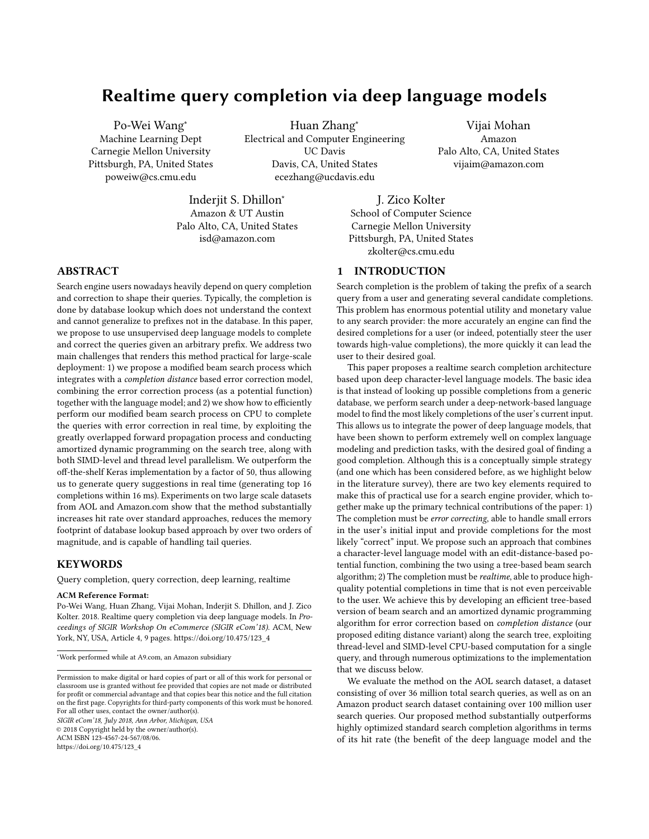# Realtime query completion via deep language models

Po-Wei Wang<sup>∗</sup> Machine Learning Dept Carnegie Mellon University Pittsburgh, PA, United States poweiw@cs.cmu.edu

Huan Zhang<sup>∗</sup> Electrical and Computer Engineering UC Davis Davis, CA, United States ecezhang@ucdavis.edu

Vijai Mohan Amazon Palo Alto, CA, United States vijaim@amazon.com

Inderjit S. Dhillon<sup>∗</sup> Amazon & UT Austin Palo Alto, CA, United States isd@amazon.com

J. Zico Kolter School of Computer Science Carnegie Mellon University Pittsburgh, PA, United States zkolter@cs.cmu.edu

# ABSTRACT

Search engine users nowadays heavily depend on query completion and correction to shape their queries. Typically, the completion is done by database lookup which does not understand the context and cannot generalize to prefixes not in the database. In this paper, we propose to use unsupervised deep language models to complete and correct the queries given an arbitrary prefix. We address two main challenges that renders this method practical for large-scale deployment: 1) we propose a modified beam search process which integrates with a completion distance based error correction model, combining the error correction process (as a potential function) together with the language model; and 2) we show how to efficiently perform our modified beam search process on CPU to complete the queries with error correction in real time, by exploiting the greatly overlapped forward propagation process and conducting amortized dynamic programming on the search tree, along with both SIMD-level and thread level parallelism. We outperform the off-the-shelf Keras implementation by a factor of 50, thus allowing us to generate query suggestions in real time (generating top 16 completions within 16 ms). Experiments on two large scale datasets from AOL and Amazon.com show that the method substantially increases hit rate over standard approaches, reduces the memory footprint of database lookup based approach by over two orders of magnitude, and is capable of handling tail queries.

# KEYWORDS

Query completion, query correction, deep learning, realtime

#### ACM Reference Format:

Po-Wei Wang, Huan Zhang, Vijai Mohan, Inderjit S. Dhillon, and J. Zico Kolter. 2018. Realtime query completion via deep language models. In Proceedings of SIGIR Workshop On eCommerce (SIGIR eCom'18). ACM, New York, NY, USA, Article 4, [9](#page-8-0) pages. [https://doi.org/10.475/123\\_4](https://doi.org/10.475/123_4)

SIGIR eCom'18, July 2018, Ann Arbor, Michigan, USA © 2018 Copyright held by the owner/author(s). ACM ISBN 123-4567-24-567/08/06.

[https://doi.org/10.475/123\\_4](https://doi.org/10.475/123_4)

# 1 INTRODUCTION

Search completion is the problem of taking the prefix of a search query from a user and generating several candidate completions. This problem has enormous potential utility and monetary value to any search provider: the more accurately an engine can find the desired completions for a user (or indeed, potentially steer the user towards high-value completions), the more quickly it can lead the user to their desired goal.

This paper proposes a realtime search completion architecture based upon deep character-level language models. The basic idea is that instead of looking up possible completions from a generic database, we perform search under a deep-network-based language model to find the most likely completions of the user's current input. This allows us to integrate the power of deep language models, that have been shown to perform extremely well on complex language modeling and prediction tasks, with the desired goal of finding a good completion. Although this is a conceptually simple strategy (and one which has been considered before, as we highlight below in the literature survey), there are two key elements required to make this of practical use for a search engine provider, which together make up the primary technical contributions of the paper: 1) The completion must be error correcting, able to handle small errors in the user's initial input and provide completions for the most likely "correct" input. We propose such an approach that combines a character-level language model with an edit-distance-based potential function, combining the two using a tree-based beam search algorithm; 2) The completion must be realtime, able to produce highquality potential completions in time that is not even perceivable to the user. We achieve this by developing an efficient tree-based version of beam search and an amortized dynamic programming algorithm for error correction based on completion distance (our proposed editing distance variant) along the search tree, exploiting thread-level and SIMD-level CPU-based computation for a single query, and through numerous optimizations to the implementation that we discuss below.

We evaluate the method on the AOL search dataset, a dataset consisting of over 36 million total search queries, as well as on an Amazon product search dataset containing over 100 million user search queries. Our proposed method substantially outperforms highly optimized standard search completion algorithms in terms of its hit rate (the benefit of the deep language model and the

<sup>∗</sup>Work performed while at A9.com, an Amazon subsidiary

Permission to make digital or hard copies of part or all of this work for personal or classroom use is granted without fee provided that copies are not made or distributed for profit or commercial advantage and that copies bear this notice and the full citation on the first page. Copyrights for third-party components of this work must be honored. For all other uses, contact the owner/author(s).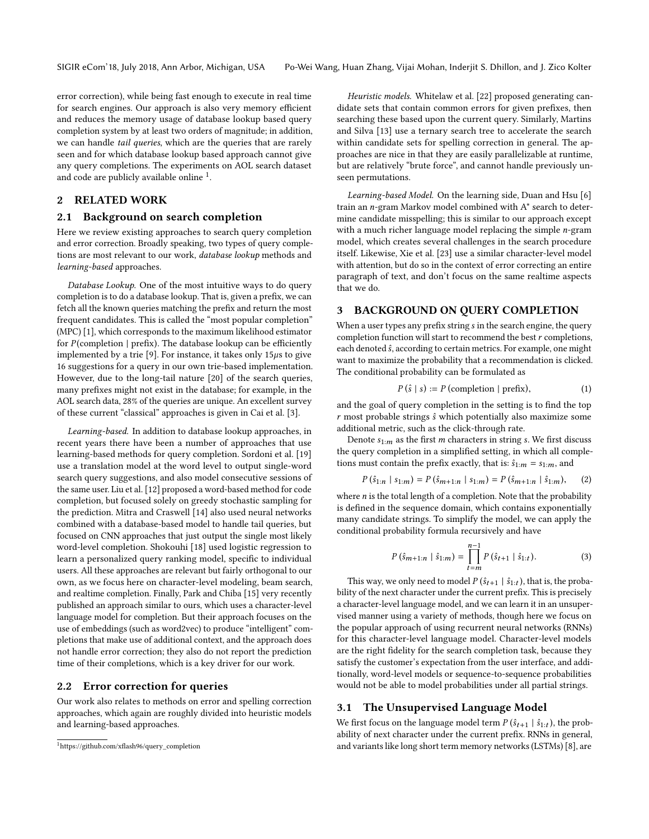error correction), while being fast enough to execute in real time for search engines. Our approach is also very memory efficient and reduces the memory usage of database lookup based query completion system by at least two orders of magnitude; in addition, we can handle tail queries, which are the queries that are rarely seen and for which database lookup based approach cannot give any query completions. The experiments on AOL search dataset and code are publicly available online  $^1$  $^1$ .

# 2 RELATED WORK

#### 2.1 Background on search completion

Here we review existing approaches to search query completion and error correction. Broadly speaking, two types of query completions are most relevant to our work, database lookup methods and learning-based approaches.

Database Lookup. One of the most intuitive ways to do query completion is to do a database lookup. That is, given a prefix, we can fetch all the known queries matching the prefix and return the most frequent candidates. This is called the "most popular completion" (MPC) [\[1\]](#page-8-1), which corresponds to the maximum likelihood estimator for  $P$  (completion | prefix). The database lookup can be efficiently implemented by a trie [\[9\]](#page-8-2). For instance, it takes only  $15\mu s$  to give 16 suggestions for a query in our own trie-based implementation. However, due to the long-tail nature [\[20\]](#page-8-3) of the search queries, many prefixes might not exist in the database; for example, in the AOL search data, 28% of the queries are unique. An excellent survey of these current "classical" approaches is given in Cai et al. [\[3\]](#page-8-4).

Learning-based. In addition to database lookup approaches, in recent years there have been a number of approaches that use learning-based methods for query completion. Sordoni et al. [\[19\]](#page-8-5) use a translation model at the word level to output single-word search query suggestions, and also model consecutive sessions of the same user. Liu et al. [\[12\]](#page-8-6) proposed a word-based method for code completion, but focused solely on greedy stochastic sampling for the prediction. Mitra and Craswell [\[14\]](#page-8-7) also used neural networks combined with a database-based model to handle tail queries, but focused on CNN approaches that just output the single most likely word-level completion. Shokouhi [\[18\]](#page-8-8) used logistic regression to learn a personalized query ranking model, specific to individual users. All these approaches are relevant but fairly orthogonal to our own, as we focus here on character-level modeling, beam search, and realtime completion. Finally, Park and Chiba [\[15\]](#page-8-9) very recently published an approach similar to ours, which uses a character-level language model for completion. But their approach focuses on the use of embeddings (such as word2vec) to produce "intelligent" completions that make use of additional context, and the approach does not handle error correction; they also do not report the prediction time of their completions, which is a key driver for our work.

#### 2.2 Error correction for queries

Our work also relates to methods on error and spelling correction approaches, which again are roughly divided into heuristic models and learning-based approaches.

Heuristic models. Whitelaw et al. [\[22\]](#page-8-10) proposed generating candidate sets that contain common errors for given prefixes, then searching these based upon the current query. Similarly, Martins and Silva [\[13\]](#page-8-11) use a ternary search tree to accelerate the search within candidate sets for spelling correction in general. The approaches are nice in that they are easily parallelizable at runtime, but are relatively "brute force", and cannot handle previously unseen permutations.

Learning-based Model. On the learning side, Duan and Hsu [\[6\]](#page-8-12) train an n-gram Markov model combined with A\* search to determine candidate misspelling; this is similar to our approach except with a much richer language model replacing the simple *n*-gram model, which creates several challenges in the search procedure itself. Likewise, Xie et al. [\[23\]](#page-8-13) use a similar character-level model with attention, but do so in the context of error correcting an entire paragraph of text, and don't focus on the same realtime aspects that we do.

#### 3 BACKGROUND ON QUERY COMPLETION

When a user types any prefix string s in the search engine, the query completion function will start to recommend the best  $r$  completions, each denoted  $\hat{s}$ , according to certain metrics. For example, one might want to maximize the probability that a recommendation is clicked. The conditional probability can be formulated as

$$
P(\hat{s} \mid s) := P \text{ (completion } | \text{ prefix}), \tag{1}
$$

and the goal of query completion in the setting is to find the top  $r$  most probable strings  $\hat{s}$  which potentially also maximize some additional metric, such as the click-through rate.

Denote  $s_{1:m}$  as the first *m* characters in string *s*. We first discuss the query completion in a simplified setting, in which all completions must contain the prefix exactly, that is:  $\hat{s}_{1:m} = s_{1:m}$ , and

$$
P(\hat{s}_{1:n} \mid s_{1:m}) = P(\hat{s}_{m+1:n} \mid s_{1:m}) = P(\hat{s}_{m+1:n} \mid \hat{s}_{1:m}), \quad (2)
$$

where *n* is the total length of a completion. Note that the probability<br>is defined in the sequence domain, which contains exponentially is defined in the sequence domain, which contains exponentially many candidate strings. To simplify the model, we can apply the conditional probability formula recursively and have

$$
P\left(\hat{s}_{m+1:n} \mid \hat{s}_{1:m}\right) = \prod_{t=m}^{n-1} P\left(\hat{s}_{t+1} \mid \hat{s}_{1:t}\right). \tag{3}
$$

This way, we only need to model  $P(\hat{s}_{t+1} | \hat{s}_{1:t})$ , that is, the proba-<br>ity of the next character under the current prefix. This is precisely bility of the next character under the current prefix. This is precisely a character-level language model, and we can learn it in an unsupervised manner using a variety of methods, though here we focus on the popular approach of using recurrent neural networks (RNNs) for this character-level language model. Character-level models are the right fidelity for the search completion task, because they satisfy the customer's expectation from the user interface, and additionally, word-level models or sequence-to-sequence probabilities would not be able to model probabilities under all partial strings.

#### 3.1 The Unsupervised Language Model

We first focus on the language model term  $P(\hat{s}_{t+1} | \hat{s}_{1:t})$ , the prob-<br>ability of next character under the current prefix. RNNs in general ability of next character under the current prefix. RNNs in general, and variants like long short term memory networks (LSTMs) [\[8\]](#page-8-14), are

<span id="page-1-0"></span><sup>1</sup>[https://github.com/xflash96/query\\_completion](https://github.com/xflash96/query_completion)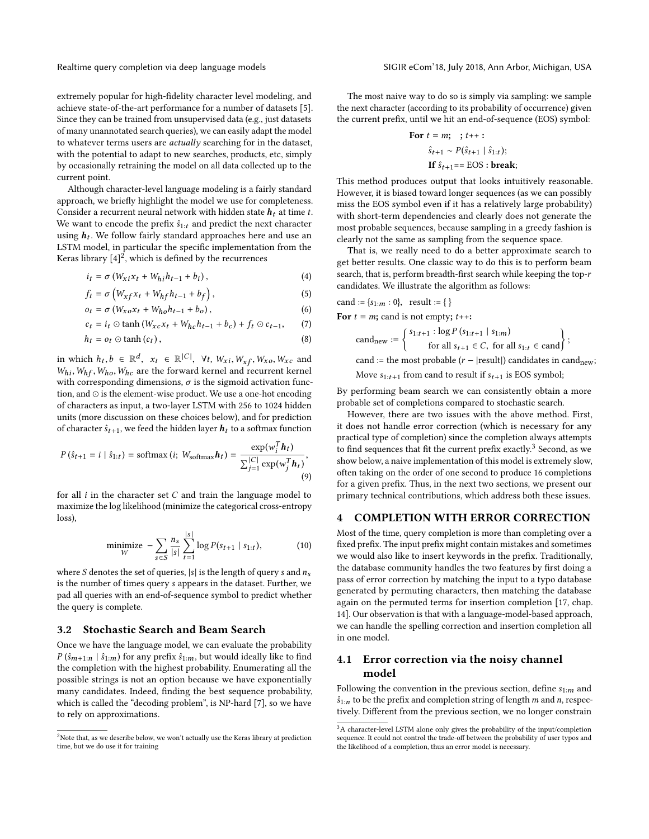extremely popular for high-fidelity character level modeling, and achieve state-of-the-art performance for a number of datasets [\[5\]](#page-8-15). Since they can be trained from unsupervised data (e.g., just datasets of many unannotated search queries), we can easily adapt the model to whatever terms users are actually searching for in the dataset, with the potential to adapt to new searches, products, etc, simply by occasionally retraining the model on all data collected up to the current point.

Although character-level language modeling is a fairly standard approach, we briefly highlight the model we use for completeness. Consider a recurrent neural network with hidden state  $h_t$  at time t. We want to encode the prefix  $\hat{s}_{1:t}$  and predict the next character using  $\boldsymbol{h}_t.$  We follow fairly standard approaches here and use an LSTM model, in particular the specific implementation from the Keras library  $[4]^2$  $[4]^2$  $[4]^2$ , which is defined by the recurrences

$$
i_t = \sigma \left( W_{xi} x_t + W_{hi} h_{t-1} + b_i \right), \tag{4}
$$

$$
f_t = \sigma \left( W_{xf} x_t + W_{hf} h_{t-1} + b_f \right), \tag{5}
$$

$$
o_t = \sigma \left( W_{xo} x_t + W_{ho} h_{t-1} + b_o \right), \tag{6}
$$

$$
c_t = i_t \odot \tanh \left( W_{xc} x_t + W_{hc} h_{t-1} + b_c \right) + f_t \odot c_{t-1}, \qquad (7)
$$

$$
h_t = o_t \odot \tanh\left(c_t\right),\tag{8}
$$

in which  $h_t, b \in \mathbb{R}^d$ ,  $x_t \in \mathbb{R}^{|C|}$ ,  $\forall t, W_{xi}, W_{xf}, W_{xo}, W_{xc}$  and  $W_{cs}$ ,  $W_{cs}$  and  $W_{cs}$  are the forward kernel and recurrent kernel  $W_{hi}$ ,  $W_{hf}$ ,  $W_{ho}$ ,  $W_{hc}$  are the forward kernel and recurrent kernel with corresponding dimensions,  $\sigma$  is the sigmoid activation function, and ⊙ is the element-wise product. We use a one-hot encoding of characters as input, a two-layer LSTM with 256 to 1024 hidden units (more discussion on these choices below), and for prediction of character  $\hat{s}_{t+1}$ , we feed the hidden layer  $h_t$  to a softmax function

$$
P\left(\hat{s}_{t+1} = i \mid \hat{s}_{1:t}\right) = \text{softmax}\left(i; \ W_{\text{softmax}}\boldsymbol{h}_t\right) = \frac{\exp(w_i^T \boldsymbol{h}_t)}{\sum_{j=1}^{|C|} \exp(w_j^T \boldsymbol{h}_t)},\tag{9}
$$

for all  $i$  in the character set  $C$  and train the language model to maximize the log likelihood (minimize the categorical cross-entropy loss),

minimize 
$$
-\sum_{s \in S} \frac{n_s}{|s|} \sum_{t=1}^{|s|} \log P(s_{t+1} | s_{1:t}),
$$
 (10)

where S denotes the set of queries,  $|s|$  is the length of query s and  $n_s$ is the number of times query s appears in the dataset. Further, we pad all queries with an end-of-sequence symbol to predict whether the query is complete.

# 3.2 Stochastic Search and Beam Search

Once we have the language model, we can evaluate the probability  $P(\hat{s}_{m+1:n} | \hat{s}_{1:m})$  for any prefix  $\hat{s}_{1:m}$ , but would ideally like to find the completion with the highest probability. Enumerating all the possible strings is not an option because we have exponentially many candidates. Indeed, finding the best sequence probability, which is called the "decoding problem", is NP-hard [\[7\]](#page-8-17), so we have to rely on approximations.

The most naive way to do so is simply via sampling: we sample the next character (according to its probability of occurrence) given the current prefix, until we hit an end-of-sequence (EOS) symbol:

For 
$$
t = m
$$
;  $t++$ :  
\n
$$
\hat{s}_{t+1} \sim P(\hat{s}_{t+1} | \hat{s}_{1:t});
$$
\nIf  $\hat{s}_{t+1} ==$  EOS : break;

This method produces output that looks intuitively reasonable. However, it is biased toward longer sequences (as we can possibly miss the EOS symbol even if it has a relatively large probability) with short-term dependencies and clearly does not generate the most probable sequences, because sampling in a greedy fashion is clearly not the same as sampling from the sequence space.

That is, we really need to do a better approximate search to get better results. One classic way to do this is to perform beam search, that is, perform breadth-first search while keeping the top-r candidates. We illustrate the algorithm as follows:

\n
$$
\text{cand} := \{s_{1:m} : 0\}, \quad \text{result} := \{\}
$$
\n

\n\n For  $t = m$ ;  $\text{cand} \text{ is not empty; } t \mapsto t$ .\n

$$
cand_{\text{new}} := \left\{ \begin{array}{l} s_{1:t+1} : \log P \left( s_{1:t+1} \mid s_{1:m} \right) \\ \text{for all } s_{t+1} \in C, \text{ for all } s_{1:t} \in \text{cand} \end{array} \right\};
$$
  
 
$$
cand := \text{the most probable } (r - |\text{result}|) \text{ candidates in } \text{cand}_{\text{new}};
$$
  
 
$$
\text{Move } s_{1:t+1} \text{ from } \text{cand to } \text{result if } s_{t+1} \text{ is EOS symbol};
$$

By performing beam search we can consistently obtain a more probable set of completions compared to stochastic search.

However, there are two issues with the above method. First, it does not handle error correction (which is necessary for any practical type of completion) since the completion always attempts to find sequences that fit the current prefix exactly.<sup>[3](#page-2-1)</sup> Second, as we show below, a naive implementation of this model is extremely slow, often taking on the order of one second to produce 16 completions for a given prefix. Thus, in the next two sections, we present our primary technical contributions, which address both these issues.

#### 4 COMPLETION WITH ERROR CORRECTION

<span id="page-2-2"></span>Most of the time, query completion is more than completing over a fixed prefix. The input prefix might contain mistakes and sometimes we would also like to insert keywords in the prefix. Traditionally, the database community handles the two features by first doing a pass of error correction by matching the input to a typo database generated by permuting characters, then matching the database again on the permuted terms for insertion completion [\[17,](#page-8-18) chap. 14]. Our observation is that with a language-model-based approach, we can handle the spelling correction and insertion completion all in one model.

# 4.1 Error correction via the noisy channel model

Following the convention in the previous section, define  $s_{1:m}$  and  $\hat{s}_{1:n}$  to be the prefix and completion string of length m and n, respectively. Different from the previous section, we no longer constrain

<span id="page-2-0"></span> $^{2}$  Note that, as we describe below, we won't actually use the Keras library at prediction time, but we do use it for training

<span id="page-2-1"></span><sup>&</sup>lt;sup>3</sup>A character-level LSTM alone only gives the probability of the input/completion sequence. It could not control the trade-off between the probability of user typos and the likelihood of a completion, thus an error model is necessary.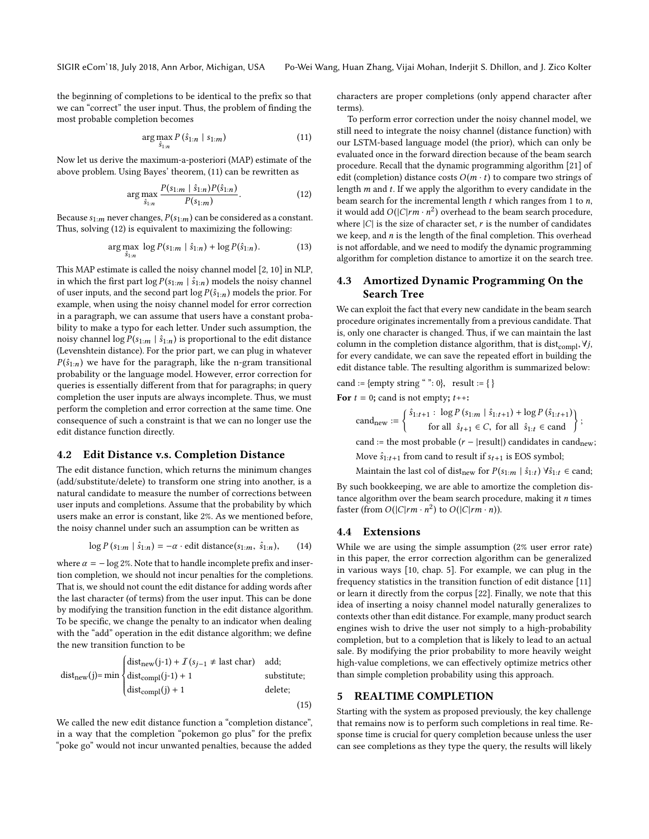the beginning of completions to be identical to the prefix so that we can "correct" the user input. Thus, the problem of finding the most probable completion becomes

$$
\arg\max_{\hat{S}_{1:n}} P\left(\hat{s}_{1:n} \mid s_{1:m}\right) \tag{11}
$$

Now let us derive the maximum-a-posteriori (MAP) estimate of the above problem. Using Bayes' theorem, [\(11\)](#page-3-0) can be rewritten as

$$
\arg\max_{\hat{S}_{1:n}} \frac{P(s_{1:m} \mid \hat{S}_{1:n}) P(\hat{S}_{1:n})}{P(s_{1:m})}.
$$
 (12)

Because  $s_{1:m}$  never changes,  $P(s_{1:m})$  can be considered as a constant. Thus, solving [\(12\)](#page-3-1) is equivalent to maximizing the following:

$$
\arg \max_{\hat{s}_{1:n}} \log P(s_{1:m} \mid \hat{s}_{1:n}) + \log P(\hat{s}_{1:n}). \tag{13}
$$

This MAP estimate is called the noisy channel model [\[2,](#page-8-19) [10\]](#page-8-20) in NLP, in which the first part  $\log P(s_{1:m} | \hat{s}_{1:n})$  models the noisy channel of user inputs, and the second part  $\log P(\hat{s}_{1:n})$  models the prior. For example, when using the noisy channel model for error correction in a paragraph, we can assume that users have a constant probability to make a typo for each letter. Under such assumption, the noisy channel log  $P(s_{1:m} | \hat{s}_{1:n})$  is proportional to the edit distance (Levenshtein distance). For the prior part, we can plug in whatever  $P(\hat{s}_{1:n})$  we have for the paragraph, like the n-gram transitional probability or the language model. However, error correction for queries is essentially different from that for paragraphs; in query completion the user inputs are always incomplete. Thus, we must perform the completion and error correction at the same time. One consequence of such a constraint is that we can no longer use the edit distance function directly.

# 4.2 Edit Distance v.s. Completion Distance

The edit distance function, which returns the minimum changes (add/substitute/delete) to transform one string into another, is a natural candidate to measure the number of corrections between user inputs and completions. Assume that the probability by which users make an error is constant, like 2%. As we mentioned before, the noisy channel under such an assumption can be written as

$$
\log P\left(s_{1:m} \mid \hat{s}_{1:n}\right) = -\alpha \cdot \text{edit distance}(s_{1:m}, \hat{s}_{1:n}),\tag{14}
$$

where  $\alpha = -\log 2\%$ . Note that to handle incomplete prefix and insertion completion, we should not incur penalties for the completions. That is, we should not count the edit distance for adding words after the last character (of terms) from the user input. This can be done by modifying the transition function in the edit distance algorithm. To be specific, we change the penalty to an indicator when dealing with the "add" operation in the edit distance algorithm; we define the new transition function to be

$$
dist_{new}(j) = min \begin{cases} dist_{new}(j-1) + I(s_{j-1} \neq last char) & add; \\ dist_{compl}(j-1) + 1 & substitute; \\ dist_{compl}(j) + 1 & delete; \end{cases}
$$

 $\epsilon$ 

We called the new edit distance function a "completion distance", in a way that the completion "pokemon go plus" for the prefix "poke go" would not incur unwanted penalties, because the added

characters are proper completions (only append character after terms).

<span id="page-3-1"></span><span id="page-3-0"></span>To perform error correction under the noisy channel model, we still need to integrate the noisy channel (distance function) with our LSTM-based language model (the prior), which can only be evaluated once in the forward direction because of the beam search procedure. Recall that the dynamic programming algorithm [\[21\]](#page-8-21) of edit (completion) distance costs  $O(m \cdot t)$  to compare two strings of length m and t. If we apply the algorithm to every candidate in the beam search for the incremental length  $t$  which ranges from 1 to  $n$ , it would add  $O(|C|rm \cdot n^2)$  overhead to the beam search procedure,<br>where  $|C|$  is the size of character set, r is the number of candidates where  $|C|$  is the size of character set, r is the number of candidates we keep, and  $n$  is the length of the final completion. This overhead is not affordable, and we need to modify the dynamic programming algorithm for completion distance to amortize it on the search tree.

# 4.3 Amortized Dynamic Programming On the Search Tree

We can exploit the fact that every new candidate in the beam search procedure originates incrementally from a previous candidate. That is, only one character is changed. Thus, if we can maintain the last column in the completion distance algorithm, that is dist $_{\text{compl}}, \forall j$ , for every candidate, we can save the repeated effort in building the edit distance table. The resulting algorithm is summarized below:

cand := {empty string "": 0}, result := { }

For  $t = 0$ ; cand is not empty;  $t++$ :

cand<sub>new</sub> :=  $\begin{cases} \hat{s}_{1:t+1} : \log P(\hat{s}_{1:m} | \hat{s}_{1:t+1}) + \log P(\hat{s}_{1:t+1}) \\ \text{for all } \hat{s}_{t+1} \in C, \text{ for all } \hat{s}_{1:t} \in \text{cand} \end{cases}$ ;

cand := the most probable  $(r - |result|)$  candidates in candnew; Move  $\hat{s}_{1:t+1}$  from cand to result if  $s_{t+1}$  is EOS symbol;

Maintain the last col of dist<sub>new</sub> for  $P(s_{1:m} | \hat{s}_{1:t}) \forall \hat{s}_{1:t} \in \text{cand};$ 

By such bookkeeping, we are able to amortize the completion distance algorithm over the beam search procedure, making it  $n$  times faster (from  $O(|C|rm \cdot n^2)$  to  $O(|C|rm \cdot n)$ ).

# 4.4 Extensions

While we are using the simple assumption (2% user error rate) in this paper, the error correction algorithm can be generalized in various ways [\[10,](#page-8-20) chap. 5]. For example, we can plug in the frequency statistics in the transition function of edit distance [\[11\]](#page-8-22) or learn it directly from the corpus [\[22\]](#page-8-10). Finally, we note that this idea of inserting a noisy channel model naturally generalizes to contexts other than edit distance. For example, many product search engines wish to drive the user not simply to a high-probability completion, but to a completion that is likely to lead to an actual sale. By modifying the prior probability to more heavily weight high-value completions, we can effectively optimize metrics other than simple completion probability using this approach.

## <span id="page-3-2"></span>5 REALTIME COMPLETION

Starting with the system as proposed previously, the key challenge that remains now is to perform such completions in real time. Response time is crucial for query completion because unless the user can see completions as they type the query, the results will likely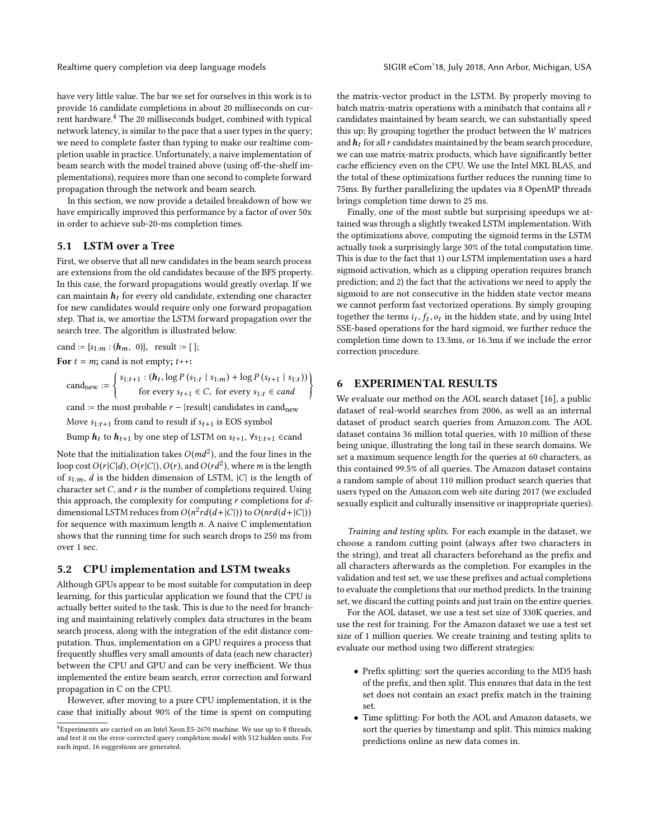have very little value. The bar we set for ourselves in this work is to provide 16 candidate completions in about 20 milliseconds on cur-rent hardware.<sup>[4](#page-4-0)</sup> The 20 milliseconds budget, combined with typical network latency, is similar to the pace that a user types in the query; we need to complete faster than typing to make our realtime completion usable in practice. Unfortunately, a naive implementation of beam search with the model trained above (using off-the-shelf implementations), requires more than one second to complete forward propagation through the network and beam search.

In this section, we now provide a detailed breakdown of how we have empirically improved this performance by a factor of over 50x in order to achieve sub-20-ms completion times.

#### 5.1 LSTM over a Tree

First, we observe that all new candidates in the beam search process are extensions from the old candidates because of the BFS property. In this case, the forward propagations would greatly overlap. If we can maintain  $h_t$  for every old candidate, extending one character for new candidates would require only one forward propagation step. That is, we amortize the LSTM forward propagation over the search tree. The algorithm is illustrated below.

cand :=  ${s_1: m : (h_m, 0)}$ , result := { };

For  $t = m$ ; cand is not empty;  $t++$ 

 $cand_{new} :=$  $\begin{cases} 1 & \text{if } x \in \mathbb{R}^n, \\ 0 & \text{otherwise} \end{cases}$  $s_{1:t+1}$ :  $(h_t, \log P(s_{1:t} | s_{1:m}) + \log P(s_{t+1} | s_{1:t}))$ for every  $s_{t+1} \in C$ , for every  $s_{1:t} \in cand$  $\left.\begin{array}{c} \end{array}\right\}$ 

cand := the most probable  $r - |result|$  candidates in candnew

Move  $s_{1:t+1}$  from cand to result if  $s_{t+1}$  is EOS symbol

Bump  $h_t$  to  $h_{t+1}$  by one step of LSTM on  $s_{t+1}$ ,  $\forall s_{1:t+1}$  ∈cand

Note that the initialization takes  $O(md^2)$ , and the four lines in the loop cost  $O(r|C|d)$ ,  $O(r|C|)$ ,  $O(r)$ , and  $O(rd^2)$ , where m is the length loop cost  $O(r|C|d)$ ,  $O(r|C|)$ ,  $O(r)$ , and  $O(r d^2)$ , where m is the length of  $s$ , d is the hidden dimension of  $ISTM$  |C| is the length of of  $s_{1:m}$ , *d* is the hidden dimension of LSTM,  $|C|$  is the length of character set  $C$ , and  $r$  is the number of completions required. Using this approach, the complexity for computing  $r$  completions for  $d$ dimensional LSTM reduces from  $O(n^2 r d(d+|C|))$  to  $O(n r d(d+|C|))$ <br>for sequence with maximum length  $n, A$  naive C implementation for sequence with maximum length  $n$ . A naive C implementation shows that the running time for such search drops to 250 ms from over 1 sec.

#### 5.2 CPU implementation and LSTM tweaks

Although GPUs appear to be most suitable for computation in deep learning, for this particular application we found that the CPU is actually better suited to the task. This is due to the need for branching and maintaining relatively complex data structures in the beam search process, along with the integration of the edit distance computation. Thus, implementation on a GPU requires a process that frequently shuffles very small amounts of data (each new character) between the CPU and GPU and can be very inefficient. We thus implemented the entire beam search, error correction and forward propagation in C on the CPU.

However, after moving to a pure CPU implementation, it is the case that initially about 90% of the time is spent on computing the matrix-vector product in the LSTM. By properly moving to batch matrix-matrix operations with a minibatch that contains all  $r$ candidates maintained by beam search, we can substantially speed this up; By grouping together the product between the W matrices and  $h_t$  for all r candidates maintained by the beam search procedure, we can use matrix-matrix products, which have significantly better cache efficiency even on the CPU. We use the Intel MKL BLAS, and the total of these optimizations further reduces the running time to 75ms. By further parallelizing the updates via 8 OpenMP threads brings completion time down to 25 ms.

Finally, one of the most subtle but surprising speedups we attained was through a slightly tweaked LSTM implementation. With the optimizations above, computing the sigmoid terms in the LSTM actually took a surprisingly large 30% of the total computation time. This is due to the fact that 1) our LSTM implementation uses a hard sigmoid activation, which as a clipping operation requires branch prediction; and 2) the fact that the activations we need to apply the sigmoid to are not consecutive in the hidden state vector means we cannot perform fast vectorized operations. By simply grouping together the terms  $i_t$ ,  $f_t$ ,  $o_t$  in the hidden state, and by using Intel<br>SSE-based operations for the hard sigmoid, we further reduce the SSE-based operations for the hard sigmoid, we further reduce the completion time down to 13.3ms, or 16.3ms if we include the error correction procedure.

# 6 EXPERIMENTAL RESULTS

We evaluate our method on the AOL search dataset [\[16\]](#page-8-23), a public dataset of real-world searches from 2006, as well as an internal dataset of product search queries from Amazon.com. The AOL dataset contains 36 million total queries, with 10 million of these being unique, illustrating the long tail in these search domains. We set a maximum sequence length for the queries at 60 characters, as this contained 99.5% of all queries. The Amazon dataset contains a random sample of about 110 million product search queries that users typed on the Amazon.com web site during 2017 (we excluded sexually explicit and culturally insensitive or inappropriate queries).

Training and testing splits. For each example in the dataset, we choose a random cutting point (always after two characters in the string), and treat all characters beforehand as the prefix and all characters afterwards as the completion. For examples in the validation and test set, we use these prefixes and actual completions to evaluate the completions that our method predicts. In the training set, we discard the cutting points and just train on the entire queries.

For the AOL dataset, we use a test set size of 330K queries, and use the rest for training. For the Amazon dataset we use a test set size of 1 million queries. We create training and testing splits to evaluate our method using two different strategies:

- Prefix splitting: sort the queries according to the MD5 hash of the prefix, and then split. This ensures that data in the test set does not contain an exact prefix match in the training set.
- Time splitting: For both the AOL and Amazon datasets, we sort the queries by timestamp and split. This mimics making predictions online as new data comes in.

<span id="page-4-0"></span><sup>4</sup>Experiments are carried on an Intel Xeon E5-2670 machine. We use up to 8 threads, and test it on the error-corrected query completion model with 512 hidden units. For each input, 16 suggestions are generated.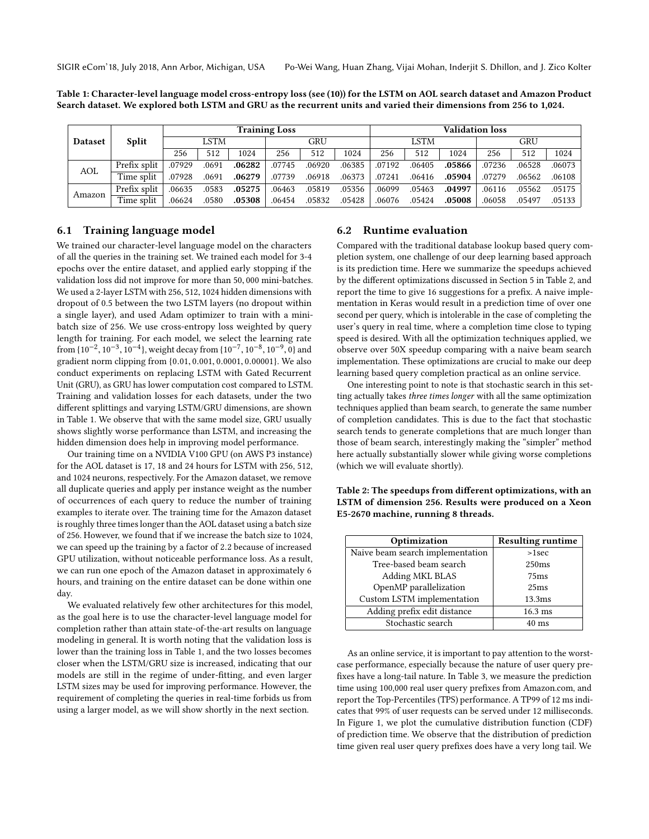<span id="page-5-0"></span>Table 1: Character-level language model cross-entropy loss (see [\(10\)](#page-2-2)) for the LSTM on AOL search dataset and Amazon Product Search dataset. We explored both LSTM and GRU as the recurrent units and varied their dimensions from 256 to 1,024.

|                |              | <b>Training Loss</b> |       |        |        |        | <b>Validation loss</b> |        |        |        |        |        |        |
|----------------|--------------|----------------------|-------|--------|--------|--------|------------------------|--------|--------|--------|--------|--------|--------|
| <b>Dataset</b> | Split        | LSTM                 |       |        | GRU    |        | LSTM                   |        | GRU    |        |        |        |        |
|                |              | 256                  | 512   | 1024   | 256    | 512    | 1024                   | 256    | 512    | 1024   | 256    | 512    | 1024   |
| AOL            | Prefix split | .07929               | .0691 | .06282 | .07745 | .06920 | .06385                 | .07192 | .06405 | .05866 | .07236 | .06528 | .06073 |
|                | Time split   | .07928               | .0691 | .06279 | .07739 | .06918 | .06373                 | .07241 | .06416 | .05904 | .07279 | .06562 | .06108 |
| Amazon         | Prefix split | .06635               | .0583 | .05275 | .06463 | .05819 | .05356                 | .06099 | .05463 | .04997 | .06116 | .05562 | .05175 |
|                | Time split   | .06624               | .0580 | .05308 | .06454 | .05832 | .05428                 | .06076 | .05424 | .05008 | .06058 | .05497 | .05133 |

# 6.1 Training language model

We trained our character-level language model on the characters of all the queries in the training set. We trained each model for 3-4 epochs over the entire dataset, and applied early stopping if the validation loss did not improve for more than <sup>50</sup>, <sup>000</sup> mini-batches. We used a 2-layer LSTM with <sup>256</sup>, <sup>512</sup>, <sup>1024</sup> hidden dimensions with dropout of 0.5 between the two LSTM layers (no dropout within a single layer), and used Adam optimizer to train with a minibatch size of 256. We use cross-entropy loss weighted by query length for training. For each model, we select the learning rate from  $\{10^{-2}, 10^{-3}, 10^{-4}\}$ , weight decay from  $\{10^{-7}, 10^{-8}, 10^{-9}, 0\}$  and<br>gradient norm clinning from  $\{0, 01, 0, 001, 0, 0001, 0, 00001\}$ . We also gradient norm clipping from {0.01, <sup>0</sup>.001, <sup>0</sup>.0001, <sup>0</sup>.00001}. We also conduct experiments on replacing LSTM with Gated Recurrent Unit (GRU), as GRU has lower computation cost compared to LSTM. Training and validation losses for each datasets, under the two different splittings and varying LSTM/GRU dimensions, are shown in Table [1.](#page-5-0) We observe that with the same model size, GRU usually shows slightly worse performance than LSTM, and increasing the hidden dimension does help in improving model performance.

Our training time on a NVIDIA V100 GPU (on AWS P3 instance) for the AOL dataset is 17, 18 and 24 hours for LSTM with 256, 512, and 1024 neurons, respectively. For the Amazon dataset, we remove all duplicate queries and apply per instance weight as the number of occurrences of each query to reduce the number of training examples to iterate over. The training time for the Amazon dataset is roughly three times longer than the AOL dataset using a batch size of 256. However, we found that if we increase the batch size to 1024, we can speed up the training by a factor of <sup>2</sup>.<sup>2</sup> because of increased GPU utilization, without noticeable performance loss. As a result, we can run one epoch of the Amazon dataset in approximately 6 hours, and training on the entire dataset can be done within one day.

We evaluated relatively few other architectures for this model, as the goal here is to use the character-level language model for completion rather than attain state-of-the-art results on language modeling in general. It is worth noting that the validation loss is lower than the training loss in Table [1,](#page-5-0) and the two losses becomes closer when the LSTM/GRU size is increased, indicating that our models are still in the regime of under-fitting, and even larger LSTM sizes may be used for improving performance. However, the requirement of completing the queries in real-time forbids us from using a larger model, as we will show shortly in the next section.

#### 6.2 Runtime evaluation

Compared with the traditional database lookup based query completion system, one challenge of our deep learning based approach is its prediction time. Here we summarize the speedups achieved by the different optimizations discussed in Section [5](#page-3-2) in Table [2,](#page-5-1) and report the time to give 16 suggestions for a prefix. A naive implementation in Keras would result in a prediction time of over one second per query, which is intolerable in the case of completing the user's query in real time, where a completion time close to typing speed is desired. With all the optimization techniques applied, we observe over 50X speedup comparing with a naive beam search implementation. These optimizations are crucial to make our deep learning based query completion practical as an online service.

One interesting point to note is that stochastic search in this setting actually takes three times longer with all the same optimization techniques applied than beam search, to generate the same number of completion candidates. This is due to the fact that stochastic search tends to generate completions that are much longer than those of beam search, interestingly making the "simpler" method here actually substantially slower while giving worse completions (which we will evaluate shortly).

<span id="page-5-1"></span>Table 2: The speedups from different optimizations, with an LSTM of dimension 256. Results were produced on a Xeon E5-2670 machine, running 8 threads.

| Optimization                     | <b>Resulting runtime</b> |
|----------------------------------|--------------------------|
| Naive beam search implementation | $>1$ sec                 |
| Tree-based beam search           | 250ms                    |
| Adding MKL BLAS                  | 75ms                     |
| OpenMP parallelization           | 25 <sub>ms</sub>         |
| Custom LSTM implementation       | 13.3 <sub>ms</sub>       |
| Adding prefix edit distance      | $16.3$ ms                |
| Stochastic search                | $40 \text{ ms}$          |

As an online service, it is important to pay attention to the worstcase performance, especially because the nature of user query prefixes have a long-tail nature. In Table [3,](#page-6-0) we measure the prediction time using 100,000 real user query prefixes from Amazon.com, and report the Top-Percentiles (TPS) performance. A TP99 of 12 ms indicates that 99% of user requests can be served under 12 milliseconds. In Figure [1,](#page-7-0) we plot the cumulative distribution function (CDF) of prediction time. We observe that the distribution of prediction time given real user query prefixes does have a very long tail. We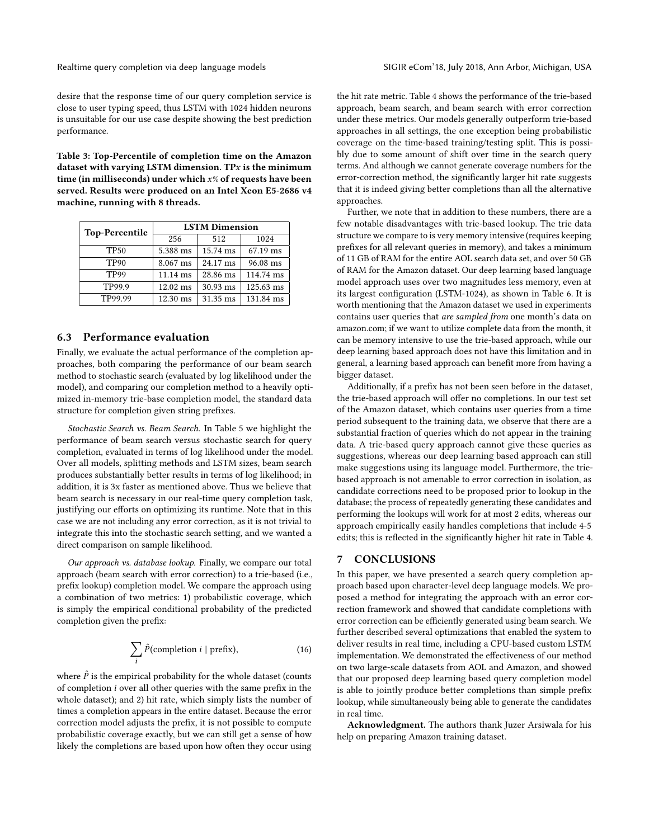Realtime query completion via deep language models SIGIR eCom'18, July 2018, Ann Arbor, Michigan, USA

desire that the response time of our query completion service is close to user typing speed, thus LSTM with 1024 hidden neurons is unsuitable for our use case despite showing the best prediction performance.

<span id="page-6-0"></span>Table 3: Top-Percentile of completion time on the Amazon dataset with varying LSTM dimension. TP $x$  is the minimum time (in milliseconds) under which  $x\%$  of requests have been served. Results were produced on an Intel Xeon E5-2686 v4 machine, running with 8 threads.

| <b>Top-Percentile</b> | <b>LSTM Dimension</b> |          |           |  |  |  |
|-----------------------|-----------------------|----------|-----------|--|--|--|
|                       | 256                   | 512      | 1024      |  |  |  |
| <b>TP50</b>           | 5.388 ms              | 15.74 ms | 67.19 ms  |  |  |  |
| <b>TP90</b>           | 8.067 ms              | 24.17 ms | 96.08 ms  |  |  |  |
| TP99                  | 11.14 ms              | 28.86 ms | 114.74 ms |  |  |  |
| TP99.9                | $12.02 \text{ ms}$    | 30.93 ms | 125.63 ms |  |  |  |
| TP99.99               | 12.30 ms              | 31.35 ms | 131.84 ms |  |  |  |

# 6.3 Performance evaluation

Finally, we evaluate the actual performance of the completion approaches, both comparing the performance of our beam search method to stochastic search (evaluated by log likelihood under the model), and comparing our completion method to a heavily optimized in-memory trie-base completion model, the standard data structure for completion given string prefixes.

Stochastic Search vs. Beam Search. In Table [5](#page-7-1) we highlight the performance of beam search versus stochastic search for query completion, evaluated in terms of log likelihood under the model. Over all models, splitting methods and LSTM sizes, beam search produces substantially better results in terms of log likelihood; in addition, it is 3x faster as mentioned above. Thus we believe that beam search is necessary in our real-time query completion task, justifying our efforts on optimizing its runtime. Note that in this case we are not including any error correction, as it is not trivial to integrate this into the stochastic search setting, and we wanted a direct comparison on sample likelihood.

Our approach vs. database lookup. Finally, we compare our total approach (beam search with error correction) to a trie-based (i.e., prefix lookup) completion model. We compare the approach using a combination of two metrics: 1) probabilistic coverage, which is simply the empirical conditional probability of the predicted completion given the prefix:

$$
\sum_{i} \hat{P}(\text{completion } i \mid \text{prefix}),\tag{16}
$$

where  $\hat{P}$  is the empirical probability for the whole dataset (counts of completion i over all other queries with the same prefix in the whole dataset); and 2) hit rate, which simply lists the number of times a completion appears in the entire dataset. Because the error correction model adjusts the prefix, it is not possible to compute probabilistic coverage exactly, but we can still get a sense of how likely the completions are based upon how often they occur using the hit rate metric. Table [4](#page-7-2) shows the performance of the trie-based approach, beam search, and beam search with error correction under these metrics. Our models generally outperform trie-based approaches in all settings, the one exception being probabilistic coverage on the time-based training/testing split. This is possibly due to some amount of shift over time in the search query terms. And although we cannot generate coverage numbers for the error-correction method, the significantly larger hit rate suggests that it is indeed giving better completions than all the alternative approaches.

Further, we note that in addition to these numbers, there are a few notable disadvantages with trie-based lookup. The trie data structure we compare to is very memory intensive (requires keeping prefixes for all relevant queries in memory), and takes a minimum of 11 GB of RAM for the entire AOL search data set, and over 50 GB of RAM for the Amazon dataset. Our deep learning based language model approach uses over two magnitudes less memory, even at its largest configuration (LSTM-1024), as shown in Table [6.](#page-7-3) It is worth mentioning that the Amazon dataset we used in experiments contains user queries that are sampled from one month's data on amazon.com; if we want to utilize complete data from the month, it can be memory intensive to use the trie-based approach, while our deep learning based approach does not have this limitation and in general, a learning based approach can benefit more from having a bigger dataset.

Additionally, if a prefix has not been seen before in the dataset, the trie-based approach will offer no completions. In our test set of the Amazon dataset, which contains user queries from a time period subsequent to the training data, we observe that there are a substantial fraction of queries which do not appear in the training data. A trie-based query approach cannot give these queries as suggestions, whereas our deep learning based approach can still make suggestions using its language model. Furthermore, the triebased approach is not amenable to error correction in isolation, as candidate corrections need to be proposed prior to lookup in the database; the process of repeatedly generating these candidates and performing the lookups will work for at most 2 edits, whereas our approach empirically easily handles completions that include 4-5 edits; this is reflected in the significantly higher hit rate in Table [4.](#page-7-2)

#### 7 CONCLUSIONS

In this paper, we have presented a search query completion approach based upon character-level deep language models. We proposed a method for integrating the approach with an error correction framework and showed that candidate completions with error correction can be efficiently generated using beam search. We further described several optimizations that enabled the system to deliver results in real time, including a CPU-based custom LSTM implementation. We demonstrated the effectiveness of our method on two large-scale datasets from AOL and Amazon, and showed that our proposed deep learning based query completion model is able to jointly produce better completions than simple prefix lookup, while simultaneously being able to generate the candidates in real time.

Acknowledgment. The authors thank Juzer Arsiwala for his help on preparing Amazon training dataset.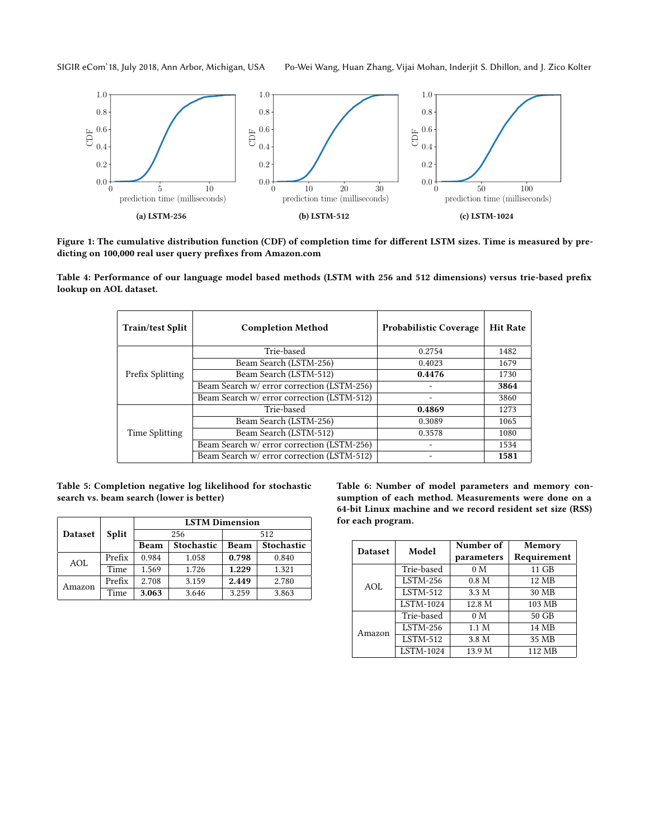SIGIR eCom'18, July 2018, Ann Arbor, Michigan, USA Po-Wei Wang, Huan Zhang, Vijai Mohan, Inderjit S. Dhillon, and J. Zico Kolter

<span id="page-7-0"></span>

Figure 1: The cumulative distribution function (CDF) of completion time for different LSTM sizes. Time is measured by predicting on 100,000 real user query prefixes from Amazon.com

<span id="page-7-2"></span>Table 4: Performance of our language model based methods (LSTM with 256 and 512 dimensions) versus trie-based prefix lookup on AOL dataset.

| <b>Train/test Split</b> | <b>Completion Method</b>                   | <b>Probabilistic Coverage</b> | <b>Hit Rate</b> |
|-------------------------|--------------------------------------------|-------------------------------|-----------------|
|                         | Trie-based                                 | 0.2754                        | 1482            |
|                         | Beam Search (LSTM-256)                     | 0.4023                        | 1679            |
| Prefix Splitting        | Beam Search (LSTM-512)                     | 0.4476                        | 1730            |
|                         | Beam Search w/ error correction (LSTM-256) |                               | 3864            |
|                         | Beam Search w/ error correction (LSTM-512) |                               | 3860            |
|                         | Trie-based                                 | 0.4869                        | 1273            |
|                         | Beam Search (LSTM-256)                     | 0.3089                        | 1065            |
| Time Splitting          | Beam Search (LSTM-512)                     | 0.3578                        | 1080            |
|                         | Beam Search w/ error correction (LSTM-256) |                               | 1534            |
|                         | Beam Search w/ error correction (LSTM-512) |                               | 1581            |

<span id="page-7-1"></span>

|  |  |                                          | Table 5: Completion negative log likelihood for stochastic |  |
|--|--|------------------------------------------|------------------------------------------------------------|--|
|  |  | search vs. beam search (lower is better) |                                                            |  |

|                |              | <b>LSTM Dimension</b> |                   |       |                   |  |  |  |
|----------------|--------------|-----------------------|-------------------|-------|-------------------|--|--|--|
| <b>Dataset</b> | <b>Split</b> |                       | 256               | 512   |                   |  |  |  |
|                |              | <b>Beam</b>           | <b>Stochastic</b> | Beam  | <b>Stochastic</b> |  |  |  |
| AOL            | Prefix       | 0.984                 | 1.058             | 0.798 | 0.840             |  |  |  |
|                | Time         | 1.569                 | 1.726             | 1.229 | 1.321             |  |  |  |
| Amazon         | Prefix       | 2.708                 | 3.159             | 2.449 | 2.780             |  |  |  |
|                | Time         | 3.063                 | 3.646             | 3.259 | 3.863             |  |  |  |

<span id="page-7-3"></span>Table 6: Number of model parameters and memory consumption of each method. Measurements were done on a 64-bit Linux machine and we record resident set size (RSS) for each program.

| <b>Dataset</b> | Model            | Number of<br>parameters | Memory<br>Requirement |
|----------------|------------------|-------------------------|-----------------------|
|                | Trie-based       | 0 <sub>M</sub>          | 11 GB                 |
| AOL            | $LSTM-256$       | 0.8 <sub>M</sub>        | 12 MB                 |
|                | <b>LSTM-512</b>  | 3.3 M                   | 30 MB                 |
|                | <b>LSTM-1024</b> | 12.8 M                  | 103 MB                |
|                | Trie-based       | 0 <sub>M</sub>          | 50 GB                 |
| Amazon         | $LSTM-256$       | 1.1 M                   | 14 MB                 |
|                | <b>LSTM-512</b>  | 3.8 M                   | 35 MB                 |
|                | LSTM-1024        | 13.9 M                  | 112 MB                |